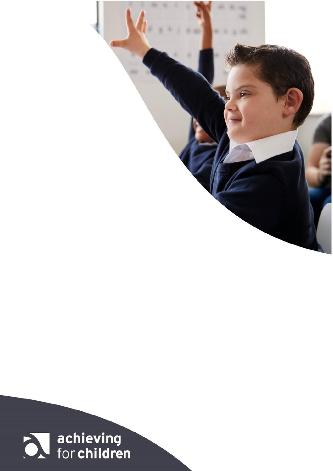

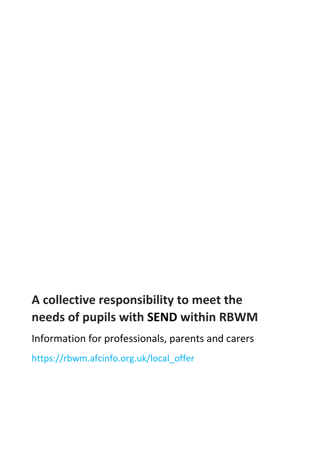# **A collective responsibility to meet the needs of pupils with SEND within RBWM**

Information for professionals, parents and carers

[https://rbwm.afcinfo.org.uk/local\\_offer](https://rbwm.afcinfo.org.uk/local_offer)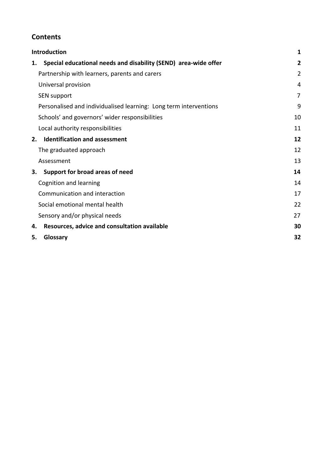#### **Contents**

|    | <b>Introduction</b>                                               |                |
|----|-------------------------------------------------------------------|----------------|
| 1. | Special educational needs and disability (SEND) area-wide offer   | $\overline{2}$ |
|    | Partnership with learners, parents and carers                     | $\overline{2}$ |
|    | Universal provision                                               | 4              |
|    | <b>SEN support</b>                                                | 7              |
|    | Personalised and individualised learning: Long term interventions | 9              |
|    | Schools' and governors' wider responsibilities                    | 10             |
|    | Local authority responsibilities                                  | 11             |
| 2. | <b>Identification and assessment</b>                              | 12             |
|    | The graduated approach                                            | 12             |
|    | Assessment                                                        | 13             |
| З. | Support for broad areas of need                                   | 14             |
|    | Cognition and learning                                            | 14             |
|    | Communication and interaction                                     | 17             |
|    | Social emotional mental health                                    | 22             |
|    | Sensory and/or physical needs                                     | 27             |
| 4. | Resources, advice and consultation available                      | 30             |
| 5. | Glossary                                                          | 32             |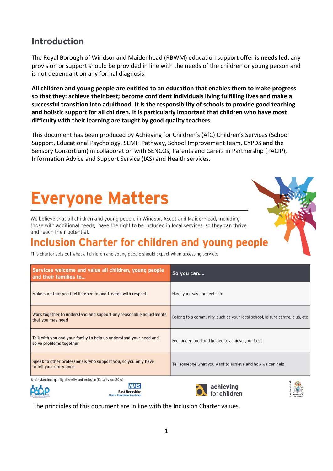#### 1

# <span id="page-3-0"></span>**Introduction**

The Royal Borough of Windsor and Maidenhead (RBWM) education support offer is **needs led**: any provision or support should be provided in line with the needs of the children or young person and is not dependant on any formal diagnosis.

**All children and young people are entitled to an education that enables them to make progress so that they: achieve their best; become confident individuals living fulfilling lives and make a successful transition into adulthood. It is the responsibility of schools to provide good teaching and holistic support for all children. It is particularly important that children who have most difficulty with their learning are taught by good quality teachers.**

This document has been produced by Achieving for Children's (AfC) Children's Services (School Support, Educational Psychology, SEMH Pathway, School Improvement team, CYPDS and the Sensory Consortium) in collaboration with SENCOs, Parents and Carers in Partnership (PACIP), Information Advice and Support Service (IAS) and Health services.

# **Everyone Matters**

We believe that all children and young people in Windsor, Ascot and Maidenhead, including those with additional needs, have the right to be included in local services, so they can thrive and reach their potential.

# **Inclusion Charter for children and young people**

This charter sets out what all children and young people should expect when accessing services

| Services welcome and value all children, young people<br>and their families to                                                      | So you can                                                                   |
|-------------------------------------------------------------------------------------------------------------------------------------|------------------------------------------------------------------------------|
| Make sure that you feel listened to and treated with respect                                                                        | Have your say and feel safe                                                  |
| Work together to understand and support any reasonable adjustments<br>that you may need                                             | Belong to a community, such as your local school, leisure centre, club, etc. |
| Talk with you and your family to help us understand your need and<br>solve problems together                                        | Feel understood and helped to achieve your best                              |
| Speak to other professionals who support you, so you only have<br>to tell your story once                                           | Tell someone what you want to achieve and how we can help                    |
| Understanding equality, diversity and inclusion (Equality Act 2010)<br>NHS<br><b>East Berkshire</b><br>Clinical Commissioning Cross | achieving<br>for children                                                    |

The principles of this document are in line with the Inclusion Charter values.

Clinical C





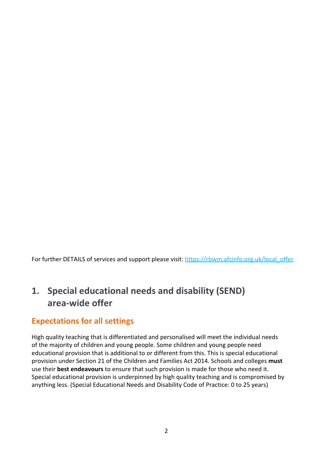For further DETAILS of services and support please visit: [https://rbwm.afcinfo.org.uk/local\\_offer](https://rbwm.afcinfo.org.uk/local_offer)

## <span id="page-4-0"></span>**1. Special educational needs and disability (SEND) area-wide offer**

#### **Expectations for all settings**

High quality teaching that is differentiated and personalised will meet the individual needs of the majority of children and young people. Some children and young people need educational provision that is additional to or different from this. This is special educational provision under Section 21 of the Children and Families Act 2014. Schools and colleges **must** use their **best endeavours** to ensure that such provision is made for those who need it. Special educational provision is underpinned by high quality teaching and is compromised by anything less. (Special Educational Needs and Disability Code of Practice: 0 to 25 years)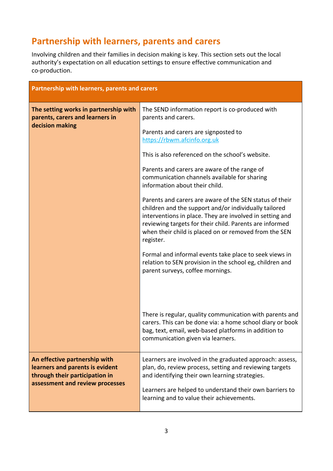#### <span id="page-5-0"></span>**Partnership with learners, parents and carers**

Involving children and their families in decision making is key. This section sets out the local authority's expectation on all education settings to ensure effective communication and co-production.

|                                                                                                    | Partnership with learners, parents and carers                                                                                                                                                                                                                                                                 |  |
|----------------------------------------------------------------------------------------------------|---------------------------------------------------------------------------------------------------------------------------------------------------------------------------------------------------------------------------------------------------------------------------------------------------------------|--|
| The setting works in partnership with<br>parents, carers and learners in                           | The SEND information report is co-produced with<br>parents and carers.                                                                                                                                                                                                                                        |  |
| decision making                                                                                    | Parents and carers are signposted to<br>https://rbwm.afcinfo.org.uk                                                                                                                                                                                                                                           |  |
|                                                                                                    | This is also referenced on the school's website.                                                                                                                                                                                                                                                              |  |
|                                                                                                    | Parents and carers are aware of the range of<br>communication channels available for sharing<br>information about their child.                                                                                                                                                                                |  |
|                                                                                                    | Parents and carers are aware of the SEN status of their<br>children and the support and/or individually tailored<br>interventions in place. They are involved in setting and<br>reviewing targets for their child. Parents are informed<br>when their child is placed on or removed from the SEN<br>register. |  |
|                                                                                                    | Formal and informal events take place to seek views in<br>relation to SEN provision in the school eg, children and<br>parent surveys, coffee mornings.                                                                                                                                                        |  |
|                                                                                                    | There is regular, quality communication with parents and<br>carers. This can be done via: a home school diary or book<br>bag, text, email, web-based platforms in addition to<br>communication given via learners.                                                                                            |  |
| An effective partnership with<br>learners and parents is evident<br>through their participation in | Learners are involved in the graduated approach: assess,<br>plan, do, review process, setting and reviewing targets<br>and identifying their own learning strategies.                                                                                                                                         |  |
| assessment and review processes                                                                    | Learners are helped to understand their own barriers to<br>learning and to value their achievements.                                                                                                                                                                                                          |  |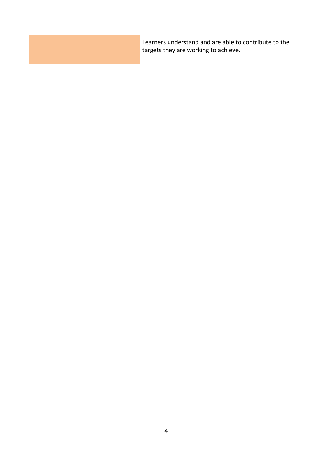| Learners understand and are able to contribute to the<br>I targets they are working to achieve. |
|-------------------------------------------------------------------------------------------------|
|                                                                                                 |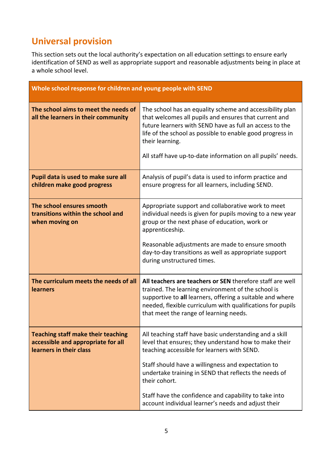# <span id="page-7-0"></span>**Universal provision**

This section sets out the local authority's expectation on all education settings to ensure early identification of SEND as well as appropriate support and reasonable adjustments being in place at a whole school level.

|                                                                                                            | Whole school response for children and young people with SEND                                                                                                                                                                                                                                                                                            |  |
|------------------------------------------------------------------------------------------------------------|----------------------------------------------------------------------------------------------------------------------------------------------------------------------------------------------------------------------------------------------------------------------------------------------------------------------------------------------------------|--|
| The school aims to meet the needs of<br>all the learners in their community                                | The school has an equality scheme and accessibility plan<br>that welcomes all pupils and ensures that current and<br>future learners with SEND have as full an access to the<br>life of the school as possible to enable good progress in<br>their learning.<br>All staff have up-to-date information on all pupils' needs.                              |  |
| Pupil data is used to make sure all<br>children make good progress                                         | Analysis of pupil's data is used to inform practice and<br>ensure progress for all learners, including SEND.                                                                                                                                                                                                                                             |  |
| The school ensures smooth<br>transitions within the school and<br>when moving on                           | Appropriate support and collaborative work to meet<br>individual needs is given for pupils moving to a new year<br>group or the next phase of education, work or<br>apprenticeship.<br>Reasonable adjustments are made to ensure smooth<br>day-to-day transitions as well as appropriate support<br>during unstructured times.                           |  |
| The curriculum meets the needs of all<br><b>learners</b>                                                   | All teachers are teachers or SEN therefore staff are well<br>trained. The learning environment of the school is<br>supportive to all learners, offering a suitable and where<br>needed, flexible curriculum with qualifications for pupils<br>that meet the range of learning needs.                                                                     |  |
| <b>Teaching staff make their teaching</b><br>accessible and appropriate for all<br>learners in their class | All teaching staff have basic understanding and a skill<br>level that ensures; they understand how to make their<br>teaching accessible for learners with SEND.<br>Staff should have a willingness and expectation to<br>undertake training in SEND that reflects the needs of<br>their cohort.<br>Staff have the confidence and capability to take into |  |
|                                                                                                            | account individual learner's needs and adjust their                                                                                                                                                                                                                                                                                                      |  |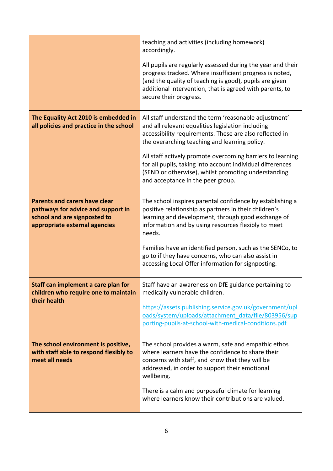|                                                                                                                                             | teaching and activities (including homework)<br>accordingly.                                                                                                                                                                                                                                                                                                                                                                                   |
|---------------------------------------------------------------------------------------------------------------------------------------------|------------------------------------------------------------------------------------------------------------------------------------------------------------------------------------------------------------------------------------------------------------------------------------------------------------------------------------------------------------------------------------------------------------------------------------------------|
|                                                                                                                                             | All pupils are regularly assessed during the year and their<br>progress tracked. Where insufficient progress is noted,<br>(and the quality of teaching is good), pupils are given<br>additional intervention, that is agreed with parents, to<br>secure their progress.                                                                                                                                                                        |
| The Equality Act 2010 is embedded in<br>all policies and practice in the school                                                             | All staff understand the term 'reasonable adjustment'<br>and all relevant equalities legislation including<br>accessibility requirements. These are also reflected in<br>the overarching teaching and learning policy.<br>All staff actively promote overcoming barriers to learning<br>for all pupils, taking into account individual differences<br>(SEND or otherwise), whilst promoting understanding<br>and acceptance in the peer group. |
| <b>Parents and carers have clear</b><br>pathways for advice and support in<br>school and are signposted to<br>appropriate external agencies | The school inspires parental confidence by establishing a<br>positive relationship as partners in their children's<br>learning and development, through good exchange of<br>information and by using resources flexibly to meet<br>needs.<br>Families have an identified person, such as the SENCo, to<br>go to if they have concerns, who can also assist in                                                                                  |
|                                                                                                                                             | accessing Local Offer information for signposting.                                                                                                                                                                                                                                                                                                                                                                                             |
| Staff can implement a care plan for<br>children who require one to maintain<br>their health                                                 | Staff have an awareness on DfE guidance pertaining to<br>medically vulnerable children.<br>https://assets.publishing.service.gov.uk/government/upl<br>oads/system/uploads/attachment_data/file/803956/sup<br>porting-pupils-at-school-with-medical-conditions.pdf                                                                                                                                                                              |
| The school environment is positive,<br>with staff able to respond flexibly to<br>meet all needs                                             | The school provides a warm, safe and empathic ethos<br>where learners have the confidence to share their<br>concerns with staff, and know that they will be<br>addressed, in order to support their emotional<br>wellbeing.<br>There is a calm and purposeful climate for learning                                                                                                                                                             |
|                                                                                                                                             | where learners know their contributions are valued.                                                                                                                                                                                                                                                                                                                                                                                            |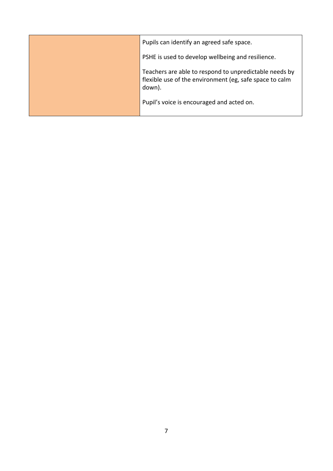| Pupils can identify an agreed safe space.                                                                                   |
|-----------------------------------------------------------------------------------------------------------------------------|
| PSHE is used to develop wellbeing and resilience.                                                                           |
| Teachers are able to respond to unpredictable needs by<br>flexible use of the environment (eg, safe space to calm<br>down). |
| Pupil's voice is encouraged and acted on.                                                                                   |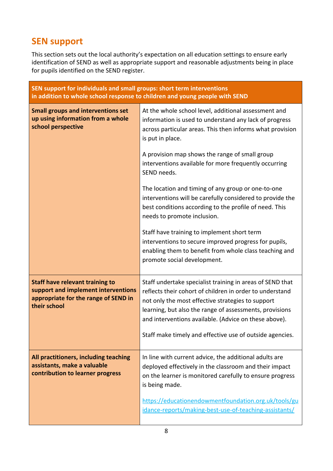#### <span id="page-10-0"></span>**SEN support**

This section sets out the local authority's expectation on all education settings to ensure early identification of SEND as well as appropriate support and reasonable adjustments being in place for pupils identified on the SEND register.

| SEN support for individuals and small groups: short term interventions<br>in addition to whole school response to children and young people with SEND |                                                                                                                                                                                                                                                                                                                                                            |
|-------------------------------------------------------------------------------------------------------------------------------------------------------|------------------------------------------------------------------------------------------------------------------------------------------------------------------------------------------------------------------------------------------------------------------------------------------------------------------------------------------------------------|
| <b>Small groups and interventions set</b><br>up using information from a whole<br>school perspective                                                  | At the whole school level, additional assessment and<br>information is used to understand any lack of progress<br>across particular areas. This then informs what provision<br>is put in place.                                                                                                                                                            |
|                                                                                                                                                       | A provision map shows the range of small group<br>interventions available for more frequently occurring<br>SEND needs.                                                                                                                                                                                                                                     |
|                                                                                                                                                       | The location and timing of any group or one-to-one<br>interventions will be carefully considered to provide the<br>best conditions according to the profile of need. This<br>needs to promote inclusion.                                                                                                                                                   |
|                                                                                                                                                       | Staff have training to implement short term<br>interventions to secure improved progress for pupils,<br>enabling them to benefit from whole class teaching and<br>promote social development.                                                                                                                                                              |
| <b>Staff have relevant training to</b><br>support and implement interventions<br>appropriate for the range of SEND in<br>their school                 | Staff undertake specialist training in areas of SEND that<br>reflects their cohort of children in order to understand<br>not only the most effective strategies to support<br>learning, but also the range of assessments, provisions<br>and interventions available. (Advice on these above).<br>Staff make timely and effective use of outside agencies. |
| All practitioners, including teaching<br>assistants, make a valuable<br>contribution to learner progress                                              | In line with current advice, the additional adults are<br>deployed effectively in the classroom and their impact<br>on the learner is monitored carefully to ensure progress<br>is being made.                                                                                                                                                             |
|                                                                                                                                                       | https://educationendowmentfoundation.org.uk/tools/gu<br>idance-reports/making-best-use-of-teaching-assistants/                                                                                                                                                                                                                                             |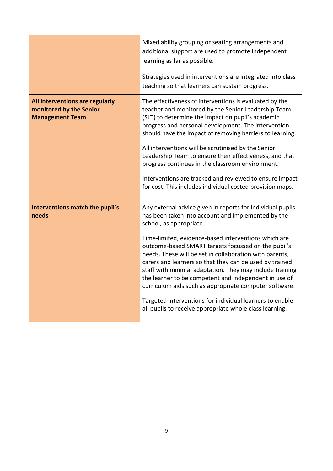|                                                                                      | Mixed ability grouping or seating arrangements and<br>additional support are used to promote independent<br>learning as far as possible.                                                                                                                                                                                                                                                                         |
|--------------------------------------------------------------------------------------|------------------------------------------------------------------------------------------------------------------------------------------------------------------------------------------------------------------------------------------------------------------------------------------------------------------------------------------------------------------------------------------------------------------|
|                                                                                      | Strategies used in interventions are integrated into class<br>teaching so that learners can sustain progress.                                                                                                                                                                                                                                                                                                    |
| All interventions are regularly<br>monitored by the Senior<br><b>Management Team</b> | The effectiveness of interventions is evaluated by the<br>teacher and monitored by the Senior Leadership Team<br>(SLT) to determine the impact on pupil's academic<br>progress and personal development. The intervention<br>should have the impact of removing barriers to learning.<br>All interventions will be scrutinised by the Senior                                                                     |
|                                                                                      | Leadership Team to ensure their effectiveness, and that<br>progress continues in the classroom environment.                                                                                                                                                                                                                                                                                                      |
|                                                                                      | Interventions are tracked and reviewed to ensure impact<br>for cost. This includes individual costed provision maps.                                                                                                                                                                                                                                                                                             |
| Interventions match the pupil's<br>needs                                             | Any external advice given in reports for individual pupils<br>has been taken into account and implemented by the<br>school, as appropriate.                                                                                                                                                                                                                                                                      |
|                                                                                      | Time-limited, evidence-based interventions which are<br>outcome-based SMART targets focussed on the pupil's<br>needs. These will be set in collaboration with parents,<br>carers and learners so that they can be used by trained<br>staff with minimal adaptation. They may include training<br>the learner to be competent and independent in use of<br>curriculum aids such as appropriate computer software. |
|                                                                                      | Targeted interventions for individual learners to enable<br>all pupils to receive appropriate whole class learning.                                                                                                                                                                                                                                                                                              |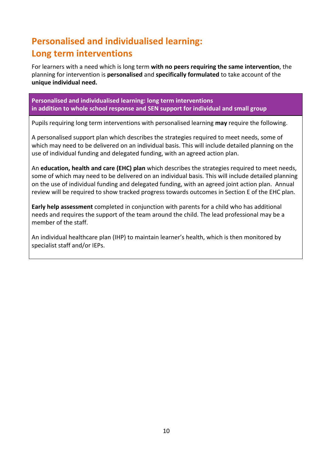# <span id="page-12-0"></span>**Personalised and individualised learning: Long term interventions**

For learners with a need which is long term **with no peers requiring the same intervention**, the planning for intervention is **personalised** and **specifically formulated** to take account of the **unique individual need.**

**Personalised and individualised learning: long term interventions in addition to whole school response and SEN support for individual and small group**

Pupils requiring long term interventions with personalised learning **may** require the following.

A personalised support plan which describes the strategies required to meet needs, some of which may need to be delivered on an individual basis. This will include detailed planning on the use of individual funding and delegated funding, with an agreed action plan.

An **education, health and care (EHC) plan** which describes the strategies required to meet needs, some of which may need to be delivered on an individual basis. This will include detailed planning on the use of individual funding and delegated funding, with an agreed joint action plan. Annual review will be required to show tracked progress towards outcomes in Section E of the EHC plan.

**Early help assessment** completed in conjunction with parents for a child who has additional needs and requires the support of the team around the child. The lead professional may be a member of the staff.

An individual healthcare plan (IHP) to maintain learner's health, which is then monitored by specialist staff and/or IEPs.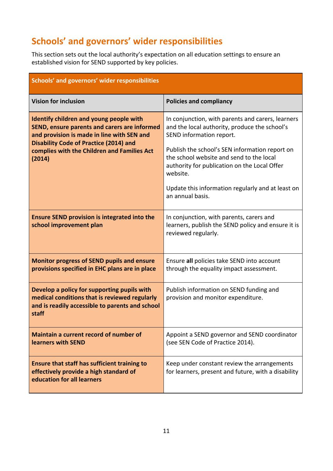## **Schools' and governors' wider responsibilities**

This section sets out the local authority's expectation on all education settings to ensure an established vision for SEND supported by key policies.

<span id="page-13-0"></span>

| Schools' and governors' wider responsibilities                                                                                                                                                                                                  |                                                                                                                                                                                                                                                                                                                                                                   |
|-------------------------------------------------------------------------------------------------------------------------------------------------------------------------------------------------------------------------------------------------|-------------------------------------------------------------------------------------------------------------------------------------------------------------------------------------------------------------------------------------------------------------------------------------------------------------------------------------------------------------------|
| <b>Vision for inclusion</b>                                                                                                                                                                                                                     | <b>Policies and compliancy</b>                                                                                                                                                                                                                                                                                                                                    |
| Identify children and young people with<br>SEND, ensure parents and carers are informed<br>and provision is made in line with SEN and<br><b>Disability Code of Practice (2014) and</b><br>complies with the Children and Families Act<br>(2014) | In conjunction, with parents and carers, learners<br>and the local authority, produce the school's<br>SEND information report.<br>Publish the school's SEN information report on<br>the school website and send to the local<br>authority for publication on the Local Offer<br>website.<br>Update this information regularly and at least on<br>an annual basis. |
| <b>Ensure SEND provision is integrated into the</b><br>school improvement plan                                                                                                                                                                  | In conjunction, with parents, carers and<br>learners, publish the SEND policy and ensure it is<br>reviewed regularly.                                                                                                                                                                                                                                             |
| <b>Monitor progress of SEND pupils and ensure</b><br>provisions specified in EHC plans are in place                                                                                                                                             | Ensure all policies take SEND into account<br>through the equality impact assessment.                                                                                                                                                                                                                                                                             |
| Develop a policy for supporting pupils with<br>medical conditions that is reviewed regularly<br>and is readily accessible to parents and school<br>staff                                                                                        | Publish information on SEND funding and<br>provision and monitor expenditure.                                                                                                                                                                                                                                                                                     |
| Maintain a current record of number of<br>learners with SEND                                                                                                                                                                                    | Appoint a SEND governor and SEND coordinator<br>(see SEN Code of Practice 2014).                                                                                                                                                                                                                                                                                  |
| Ensure that staff has sufficient training to<br>effectively provide a high standard of<br>education for all learners                                                                                                                            | Keep under constant review the arrangements<br>for learners, present and future, with a disability                                                                                                                                                                                                                                                                |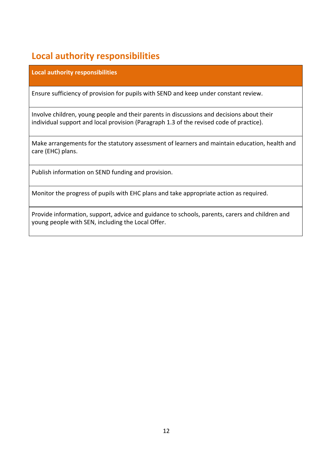# <span id="page-14-0"></span>**Local authority responsibilities**

**Local authority responsibilities**

Ensure sufficiency of provision for pupils with SEND and keep under constant review.

Involve children, young people and their parents in discussions and decisions about their individual support and local provision (Paragraph 1.3 of the revised code of practice).

Make arrangements for the statutory assessment of learners and maintain education, health and care (EHC) plans.

Publish information on SEND funding and provision.

Monitor the progress of pupils with EHC plans and take appropriate action as required.

Provide information, support, advice and guidance to schools, parents, carers and children and young people with SEN, including the Local Offer.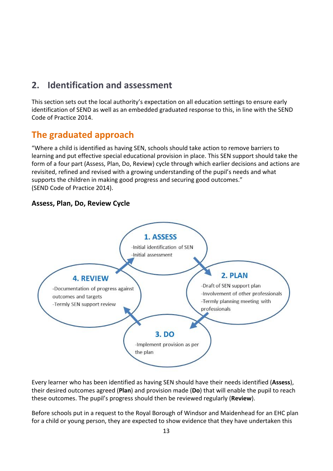#### <span id="page-15-0"></span>**2. Identification and assessment**

This section sets out the local authority's expectation on all education settings to ensure early identification of SEND as well as an embedded graduated response to this, in line with the SEND Code of Practice 2014.

#### <span id="page-15-1"></span>**The graduated approach**

"Where a child is identified as having SEN, schools should take action to remove barriers to learning and put effective special educational provision in place. This SEN support should take the form of a four part (Assess, Plan, Do, Review) cycle through which earlier decisions and actions are revisited, refined and revised with a growing understanding of the pupil's needs and what supports the children in making good progress and securing good outcomes." (SEND Code of Practice 2014).

#### **Assess, Plan, Do, Review Cycle**



Every learner who has been identified as having SEN should have their needs identified (**Assess**), their desired outcomes agreed (**Plan**) and provision made (**Do**) that will enable the pupil to reach these outcomes. The pupil's progress should then be reviewed regularly (**Review**).

Before schools put in a request to the Royal Borough of Windsor and Maidenhead for an EHC plan for a child or young person, they are expected to show evidence that they have undertaken this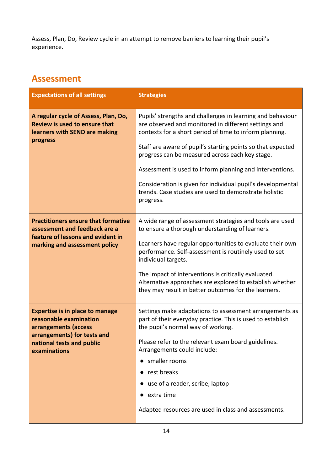Assess, Plan, Do, Review cycle in an attempt to remove barriers to learning their pupil's experience.

#### <span id="page-16-0"></span>**Assessment**

| <b>Expectations of all settings</b>                                                                                                               | <b>Strategies</b>                                                                                                                                                             |
|---------------------------------------------------------------------------------------------------------------------------------------------------|-------------------------------------------------------------------------------------------------------------------------------------------------------------------------------|
| A regular cycle of Assess, Plan, Do,<br>Review is used to ensure that<br>learners with SEND are making                                            | Pupils' strengths and challenges in learning and behaviour<br>are observed and monitored in different settings and<br>contexts for a short period of time to inform planning. |
| progress                                                                                                                                          | Staff are aware of pupil's starting points so that expected<br>progress can be measured across each key stage.                                                                |
|                                                                                                                                                   | Assessment is used to inform planning and interventions.                                                                                                                      |
|                                                                                                                                                   | Consideration is given for individual pupil's developmental<br>trends. Case studies are used to demonstrate holistic<br>progress.                                             |
| <b>Practitioners ensure that formative</b><br>assessment and feedback are a<br>feature of lessons and evident in<br>marking and assessment policy | A wide range of assessment strategies and tools are used<br>to ensure a thorough understanding of learners.                                                                   |
|                                                                                                                                                   | Learners have regular opportunities to evaluate their own<br>performance. Self-assessment is routinely used to set<br>individual targets.                                     |
|                                                                                                                                                   | The impact of interventions is critically evaluated.<br>Alternative approaches are explored to establish whether<br>they may result in better outcomes for the learners.      |
| <b>Expertise is in place to manage</b><br>reasonable examination<br>arrangements (access                                                          | Settings make adaptations to assessment arrangements as<br>part of their everyday practice. This is used to establish<br>the pupil's normal way of working.                   |
| arrangements) for tests and<br>national tests and public<br>examinations                                                                          | Please refer to the relevant exam board guidelines.<br>Arrangements could include:                                                                                            |
|                                                                                                                                                   | smaller rooms                                                                                                                                                                 |
|                                                                                                                                                   | rest breaks                                                                                                                                                                   |
|                                                                                                                                                   | • use of a reader, scribe, laptop                                                                                                                                             |
|                                                                                                                                                   | • extra time                                                                                                                                                                  |
|                                                                                                                                                   | Adapted resources are used in class and assessments.                                                                                                                          |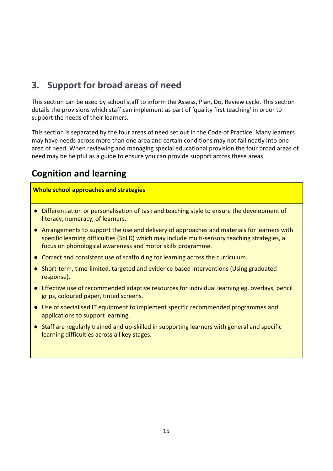#### <span id="page-17-0"></span>**3. Support for broad areas of need**

This section can be used by school staff to inform the Assess, Plan, Do, Review cycle. This section details the provisions which staff can implement as part of 'quality first teaching' in order to support the needs of their learners.

This section is separated by the four areas of need set out in the Code of Practice. Many learners may have needs across more than one area and certain conditions may not fall neatly into one area of need. When reviewing and managing special educational provision the four broad areas of need may be helpful as a guide to ensure you can provide support across these areas.

## <span id="page-17-1"></span>**Cognition and learning**

- Differentiation or personalisation of task and teaching style to ensure the development of literacy, numeracy, of learners.
- Arrangements to support the use and delivery of approaches and materials for learners with specific learning difficulties (SpLD) which may include multi-sensory teaching strategies, a focus on phonological awareness and motor skills programme.
- Correct and consistent use of scaffolding for learning across the curriculum.
- Short-term, time-limited, targeted and evidence based interventions (Using graduated response).
- Effective use of recommended adaptive resources for individual learning eg, overlays, pencil grips, coloured paper, tinted screens.
- Use of specialised IT equipment to implement specific recommended programmes and applications to support learning.
- Staff are regularly trained and up-skilled in supporting learners with general and specific learning difficulties across all key stages.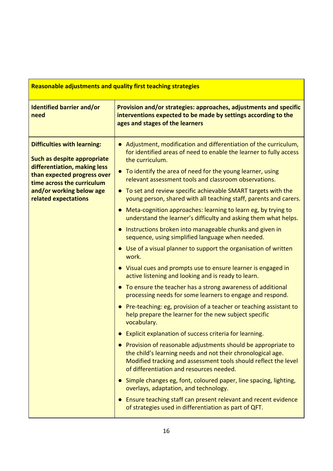| <b>Reasonable adjustments and quality first teaching strategies</b>                               |                                                                                                                                                                                                                                              |  |
|---------------------------------------------------------------------------------------------------|----------------------------------------------------------------------------------------------------------------------------------------------------------------------------------------------------------------------------------------------|--|
| <b>Identified barrier and/or</b><br>need                                                          | Provision and/or strategies: approaches, adjustments and specific<br>interventions expected to be made by settings according to the<br>ages and stages of the learners                                                                       |  |
| <b>Difficulties with learning:</b><br>Such as despite appropriate<br>differentiation, making less | Adjustment, modification and differentiation of the curriculum,<br>$\bullet$<br>for identified areas of need to enable the learner to fully access<br>the curriculum.                                                                        |  |
| than expected progress over<br>time across the curriculum                                         | To identify the area of need for the young learner, using<br>$\bullet$<br>relevant assessment tools and classroom observations.                                                                                                              |  |
| and/or working below age<br>related expectations                                                  | • To set and review specific achievable SMART targets with the<br>young person, shared with all teaching staff, parents and carers.                                                                                                          |  |
|                                                                                                   | • Meta-cognition approaches: learning to learn eg, by trying to<br>understand the learner's difficulty and asking them what helps.                                                                                                           |  |
|                                                                                                   | • Instructions broken into manageable chunks and given in<br>sequence, using simplified language when needed.                                                                                                                                |  |
|                                                                                                   | • Use of a visual planner to support the organisation of written<br>work.                                                                                                                                                                    |  |
|                                                                                                   | • Visual cues and prompts use to ensure learner is engaged in<br>active listening and looking and is ready to learn.                                                                                                                         |  |
|                                                                                                   | • To ensure the teacher has a strong awareness of additional<br>processing needs for some learners to engage and respond.                                                                                                                    |  |
|                                                                                                   | • Pre-teaching: eg, provision of a teacher or teaching assistant to<br>help prepare the learner for the new subject specific<br>vocabulary.                                                                                                  |  |
|                                                                                                   | Explicit explanation of success criteria for learning.                                                                                                                                                                                       |  |
|                                                                                                   | • Provision of reasonable adjustments should be appropriate to<br>the child's learning needs and not their chronological age.<br>Modified tracking and assessment tools should reflect the level<br>of differentiation and resources needed. |  |
|                                                                                                   | • Simple changes eg, font, coloured paper, line spacing, lighting,<br>overlays, adaptation, and technology.                                                                                                                                  |  |
|                                                                                                   | • Ensure teaching staff can present relevant and recent evidence<br>of strategies used in differentiation as part of QFT.                                                                                                                    |  |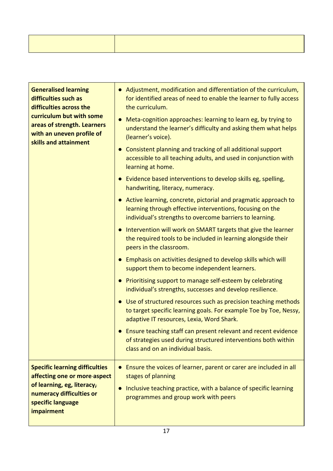| <b>Generalised learning</b><br>difficulties such as<br>difficulties across the<br>curriculum but with some<br>areas of strength. Learners<br>with an uneven profile of<br>skills and attainment | • Adjustment, modification and differentiation of the curriculum,<br>for identified areas of need to enable the learner to fully access<br>the curriculum.                                |
|-------------------------------------------------------------------------------------------------------------------------------------------------------------------------------------------------|-------------------------------------------------------------------------------------------------------------------------------------------------------------------------------------------|
|                                                                                                                                                                                                 | Meta-cognition approaches: learning to learn eg, by trying to<br>understand the learner's difficulty and asking them what helps<br>(learner's voice).                                     |
|                                                                                                                                                                                                 | • Consistent planning and tracking of all additional support<br>accessible to all teaching adults, and used in conjunction with<br>learning at home.                                      |
|                                                                                                                                                                                                 | Evidence based interventions to develop skills eg, spelling,<br>handwriting, literacy, numeracy.                                                                                          |
|                                                                                                                                                                                                 | • Active learning, concrete, pictorial and pragmatic approach to<br>learning through effective interventions, focusing on the<br>individual's strengths to overcome barriers to learning. |
|                                                                                                                                                                                                 | Intervention will work on SMART targets that give the learner<br>the required tools to be included in learning alongside their<br>peers in the classroom.                                 |
|                                                                                                                                                                                                 | Emphasis on activities designed to develop skills which will<br>support them to become independent learners.                                                                              |
|                                                                                                                                                                                                 | • Prioritising support to manage self-esteem by celebrating<br>individual's strengths, successes and develop resilience.                                                                  |
|                                                                                                                                                                                                 | Use of structured resources such as precision teaching methods<br>to target specific learning goals. For example Toe by Toe, Nessy,<br>adaptive IT resources, Lexia, Word Shark.          |
|                                                                                                                                                                                                 | Ensure teaching staff can present relevant and recent evidence<br>of strategies used during structured interventions both within<br>class and on an individual basis.                     |
| <b>Specific learning difficulties</b><br>affecting one or more-aspect                                                                                                                           | Ensure the voices of learner, parent or carer are included in all<br>stages of planning                                                                                                   |
| of learning, eg, literacy,<br>numeracy difficulties or<br>specific language<br>impairment                                                                                                       | Inclusive teaching practice, with a balance of specific learning<br>programmes and group work with peers                                                                                  |
|                                                                                                                                                                                                 |                                                                                                                                                                                           |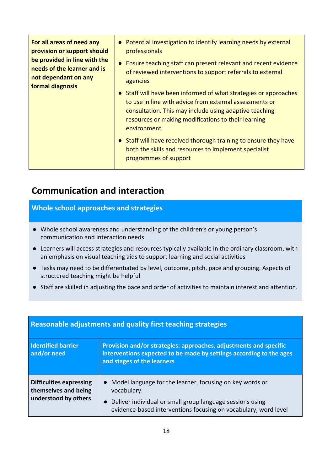| For all areas of need any<br>provision or support should<br>be provided in line with the<br>needs of the learner and is<br>not dependant on any<br>formal diagnosis | • Potential investigation to identify learning needs by external<br>professionals<br>Ensure teaching staff can present relevant and recent evidence<br>of reviewed interventions to support referrals to external<br>agencies                                |
|---------------------------------------------------------------------------------------------------------------------------------------------------------------------|--------------------------------------------------------------------------------------------------------------------------------------------------------------------------------------------------------------------------------------------------------------|
|                                                                                                                                                                     | • Staff will have been informed of what strategies or approaches<br>to use in line with advice from external assessments or<br>consultation. This may include using adaptive teaching<br>resources or making modifications to their learning<br>environment. |
|                                                                                                                                                                     | • Staff will have received thorough training to ensure they have<br>both the skills and resources to implement specialist<br>programmes of support                                                                                                           |

#### <span id="page-20-0"></span>**Communication and interaction**

- Whole school awareness and understanding of the children's or young person's communication and interaction needs.
- Learners will access strategies and resources typically available in the ordinary classroom, with an emphasis on visual teaching aids to support learning and social activities
- Tasks may need to be differentiated by level, outcome, pitch, pace and grouping. Aspects of structured teaching might be helpful
- Staff are skilled in adjusting the pace and order of activities to maintain interest and attention.

| Reasonable adjustments and quality first teaching strategies                   |                                                                                                                                                                                                         |
|--------------------------------------------------------------------------------|---------------------------------------------------------------------------------------------------------------------------------------------------------------------------------------------------------|
| <b>Identified barrier</b><br>and/or need                                       | Provision and/or strategies: approaches, adjustments and specific<br>interventions expected to be made by settings according to the ages<br>and stages of the learners                                  |
| <b>Difficulties expressing</b><br>themselves and being<br>understood by others | Model language for the learner, focusing on key words or<br>vocabulary.<br>Deliver individual or small group language sessions using<br>evidence-based interventions focusing on vocabulary, word level |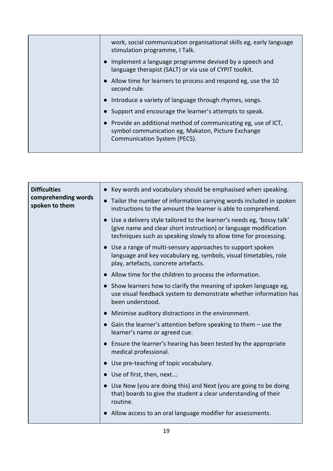| work, social communication organisational skills eg, early language<br>stimulation programme, I Talk.                                               |
|-----------------------------------------------------------------------------------------------------------------------------------------------------|
| Implement a language programme devised by a speech and<br>language therapist (SALT) or via use of CYPIT toolkit.                                    |
| Allow time for learners to process and respond eg, use the 10<br>second rule.                                                                       |
| Introduce a variety of language through rhymes, songs.                                                                                              |
| Support and encourage the learner's attempts to speak.                                                                                              |
| Provide an additional method of communicating eg, use of ICT,<br>symbol communication eg, Makaton, Picture Exchange<br>Communication System (PECS). |
|                                                                                                                                                     |

| <b>Difficulties</b><br>comprehending words<br>spoken to them | • Key words and vocabulary should be emphasised when speaking.<br>• Tailor the number of information carrying words included in spoken<br>instructions to the amount the learner is able to comprehend.       |
|--------------------------------------------------------------|---------------------------------------------------------------------------------------------------------------------------------------------------------------------------------------------------------------|
|                                                              | Use a delivery style tailored to the learner's needs eg, 'bossy talk'<br>(give name and clear short instruction) or language modification<br>techniques such as speaking slowly to allow time for processing. |
|                                                              | • Use a range of multi-sensory approaches to support spoken<br>language and key vocabulary eg, symbols, visual timetables, role<br>play, artefacts, concrete artefacts.                                       |
|                                                              | Allow time for the children to process the information.                                                                                                                                                       |
|                                                              | • Show learners how to clarify the meaning of spoken language eg,<br>use visual feedback system to demonstrate whether information has<br>been understood.                                                    |
|                                                              | Minimise auditory distractions in the environment.                                                                                                                                                            |
|                                                              | • Gain the learner's attention before speaking to them $-$ use the<br>learner's name or agreed cue.                                                                                                           |
|                                                              | • Ensure the learner's hearing has been tested by the appropriate<br>medical professional.                                                                                                                    |
|                                                              | Use pre-teaching of topic vocabulary.                                                                                                                                                                         |
|                                                              | Use of first, then, next                                                                                                                                                                                      |
|                                                              | Use Now (you are doing this) and Next (you are going to be doing<br>that) boards to give the student a clear understanding of their<br>routine.                                                               |
|                                                              | Allow access to an oral language modifier for assessments.                                                                                                                                                    |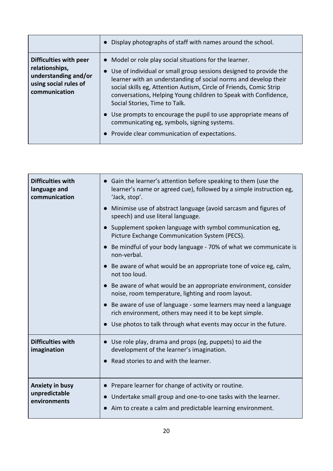|                                                                                                            | Display photographs of staff with names around the school.                                                                                                                                                                                                                                                                                                                                                                                                                                                                               |
|------------------------------------------------------------------------------------------------------------|------------------------------------------------------------------------------------------------------------------------------------------------------------------------------------------------------------------------------------------------------------------------------------------------------------------------------------------------------------------------------------------------------------------------------------------------------------------------------------------------------------------------------------------|
| Difficulties with peer<br>relationships,<br>understanding and/or<br>using social rules of<br>communication | Model or role play social situations for the learner.<br>Use of individual or small group sessions designed to provide the<br>learner with an understanding of social norms and develop their<br>social skills eg, Attention Autism, Circle of Friends, Comic Strip<br>conversations, Helping Young children to Speak with Confidence,<br>Social Stories, Time to Talk.<br>Use prompts to encourage the pupil to use appropriate means of<br>communicating eg, symbols, signing systems.<br>Provide clear communication of expectations. |

| <b>Difficulties with</b><br>language and<br>communication | • Gain the learner's attention before speaking to them (use the<br>learner's name or agreed cue), followed by a simple instruction eg,<br>'Jack, stop'.<br>Minimise use of abstract language (avoid sarcasm and figures of<br>speech) and use literal language.<br>• Supplement spoken language with symbol communication eg,<br>Picture Exchange Communication System (PECS).<br>• Be mindful of your body language - 70% of what we communicate is<br>non-verbal.<br>• Be aware of what would be an appropriate tone of voice eg, calm,<br>not too loud.<br>• Be aware of what would be an appropriate environment, consider<br>noise, room temperature, lighting and room layout.<br>Be aware of use of language - some learners may need a language<br>rich environment, others may need it to be kept simple.<br>Use photos to talk through what events may occur in the future. |
|-----------------------------------------------------------|---------------------------------------------------------------------------------------------------------------------------------------------------------------------------------------------------------------------------------------------------------------------------------------------------------------------------------------------------------------------------------------------------------------------------------------------------------------------------------------------------------------------------------------------------------------------------------------------------------------------------------------------------------------------------------------------------------------------------------------------------------------------------------------------------------------------------------------------------------------------------------------|
| <b>Difficulties with</b><br>imagination                   | • Use role play, drama and props (eg, puppets) to aid the<br>development of the learner's imagination.<br>Read stories to and with the learner.                                                                                                                                                                                                                                                                                                                                                                                                                                                                                                                                                                                                                                                                                                                                       |
| <b>Anxiety in busy</b><br>unpredictable<br>environments   | Prepare learner for change of activity or routine.<br>Undertake small group and one-to-one tasks with the learner.<br>Aim to create a calm and predictable learning environment.                                                                                                                                                                                                                                                                                                                                                                                                                                                                                                                                                                                                                                                                                                      |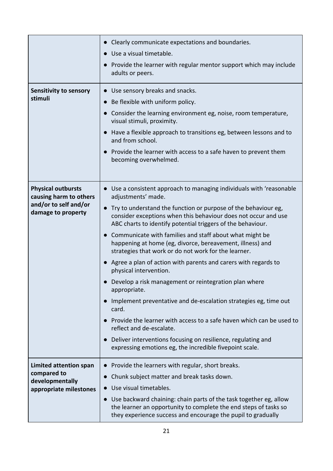|                                                                                                    | Clearly communicate expectations and boundaries.<br>Use a visual timetable.<br>• Provide the learner with regular mentor support which may include<br>adults or peers.                                                                                                                                                                                                                                                                                                                                                                                                                                                                                                                                                                                                                                                                                                                                                                                                        |
|----------------------------------------------------------------------------------------------------|-------------------------------------------------------------------------------------------------------------------------------------------------------------------------------------------------------------------------------------------------------------------------------------------------------------------------------------------------------------------------------------------------------------------------------------------------------------------------------------------------------------------------------------------------------------------------------------------------------------------------------------------------------------------------------------------------------------------------------------------------------------------------------------------------------------------------------------------------------------------------------------------------------------------------------------------------------------------------------|
| Sensitivity to sensory<br>stimuli                                                                  | • Use sensory breaks and snacks.<br>Be flexible with uniform policy.<br>Consider the learning environment eg, noise, room temperature,<br>visual stimuli, proximity.<br>Have a flexible approach to transitions eg, between lessons and to<br>and from school.<br>Provide the learner with access to a safe haven to prevent them<br>becoming overwhelmed.                                                                                                                                                                                                                                                                                                                                                                                                                                                                                                                                                                                                                    |
| <b>Physical outbursts</b><br>causing harm to others<br>and/or to self and/or<br>damage to property | • Use a consistent approach to managing individuals with 'reasonable<br>adjustments' made.<br>Try to understand the function or purpose of the behaviour eg,<br>$\bullet$<br>consider exceptions when this behaviour does not occur and use<br>ABC charts to identify potential triggers of the behaviour.<br>Communicate with families and staff about what might be<br>happening at home (eg, divorce, bereavement, illness) and<br>strategies that work or do not work for the learner.<br>• Agree a plan of action with parents and carers with regards to<br>physical intervention.<br>Develop a risk management or reintegration plan where<br>appropriate.<br>Implement preventative and de-escalation strategies eg, time out<br>card.<br>Provide the learner with access to a safe haven which can be used to<br>reflect and de-escalate.<br>Deliver interventions focusing on resilience, regulating and<br>expressing emotions eg, the incredible fivepoint scale. |
| Limited attention span<br>compared to<br>developmentally<br>appropriate milestones                 | • Provide the learners with regular, short breaks.<br>Chunk subject matter and break tasks down.<br>$\bullet$<br>Use visual timetables.<br>Use backward chaining: chain parts of the task together eg, allow<br>the learner an opportunity to complete the end steps of tasks so<br>they experience success and encourage the pupil to gradually                                                                                                                                                                                                                                                                                                                                                                                                                                                                                                                                                                                                                              |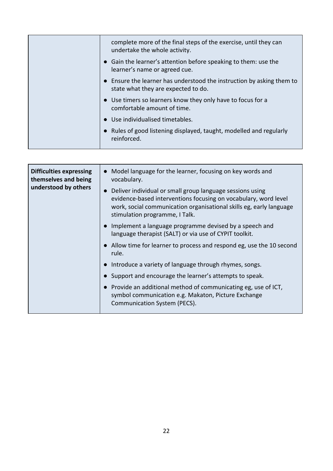| complete more of the final steps of the exercise, until they can<br>undertake the whole activity.          |
|------------------------------------------------------------------------------------------------------------|
| • Gain the learner's attention before speaking to them: use the<br>learner's name or agreed cue.           |
| Ensure the learner has understood the instruction by asking them to<br>state what they are expected to do. |
| • Use timers so learners know they only have to focus for a<br>comfortable amount of time.                 |
| • Use individualised timetables.                                                                           |
| • Rules of good listening displayed, taught, modelled and regularly<br>reinforced.                         |
|                                                                                                            |

| <b>Difficulties expressing</b><br>themselves and being<br>understood by others | Model language for the learner, focusing on key words and<br>vocabulary.                                                                                                                                                              |
|--------------------------------------------------------------------------------|---------------------------------------------------------------------------------------------------------------------------------------------------------------------------------------------------------------------------------------|
|                                                                                | Deliver individual or small group language sessions using<br>evidence-based interventions focusing on vocabulary, word level<br>work, social communication organisational skills eg, early language<br>stimulation programme, I Talk. |
|                                                                                | Implement a language programme devised by a speech and<br>language therapist (SALT) or via use of CYPIT toolkit.                                                                                                                      |
|                                                                                | Allow time for learner to process and respond eg, use the 10 second<br>rule.                                                                                                                                                          |
|                                                                                | Introduce a variety of language through rhymes, songs.                                                                                                                                                                                |
|                                                                                | Support and encourage the learner's attempts to speak.                                                                                                                                                                                |
|                                                                                | Provide an additional method of communicating eg, use of ICT,<br>symbol communication e.g. Makaton, Picture Exchange<br>Communication System (PECS).                                                                                  |
|                                                                                |                                                                                                                                                                                                                                       |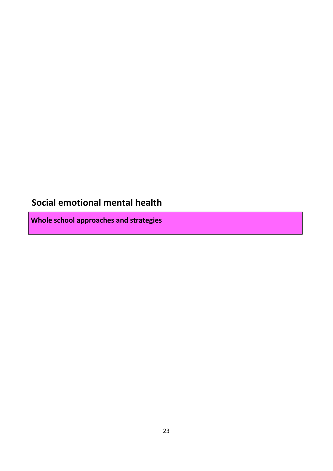## <span id="page-25-0"></span>**Social emotional mental health**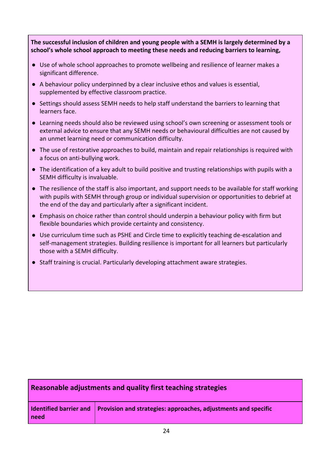**The successful inclusion of children and young people with a SEMH is largely determined by a school's whole school approach to meeting these needs and reducing barriers to learning,**

- Use of whole school approaches to promote wellbeing and resilience of learner makes a significant difference.
- A behaviour policy underpinned by a clear inclusive ethos and values is essential, supplemented by effective classroom practice.
- Settings should assess SEMH needs to help staff understand the barriers to learning that learners face.
- Learning needs should also be reviewed using school's own screening or assessment tools or external advice to ensure that any SEMH needs or behavioural difficulties are not caused by an unmet learning need or communication difficulty.
- The use of restorative approaches to build, maintain and repair relationships is required with a focus on anti-bullying work.
- The identification of a key adult to build positive and trusting relationships with pupils with a SEMH difficulty is invaluable.
- The resilience of the staff is also important, and support needs to be available for staff working with pupils with SEMH through group or individual supervision or opportunities to debrief at the end of the day and particularly after a significant incident.
- Emphasis on choice rather than control should underpin a behaviour policy with firm but flexible boundaries which provide certainty and consistency.
- Use curriculum time such as PSHE and Circle time to explicitly teaching de-escalation and self-management strategies. Building resilience is important for all learners but particularly those with a SEMH difficulty.
- Staff training is crucial. Particularly developing attachment aware strategies.

#### **Reasonable adjustments and quality first teaching strategies**

|      | Identified barrier and $\vert$ Provision and strategies: approaches, adjustments and specific |
|------|-----------------------------------------------------------------------------------------------|
| need |                                                                                               |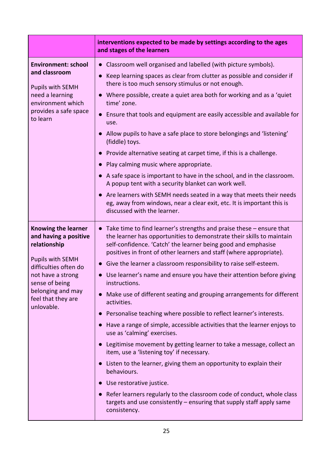|                                                                                                                                                                                                                         | interventions expected to be made by settings according to the ages<br>and stages of the learners                                                                                                                                                                                                                                                                                                                                                                                                                                                                                                                                                                                                                                                                                                                                                                                                                                                                                                                                                                                                                                                          |
|-------------------------------------------------------------------------------------------------------------------------------------------------------------------------------------------------------------------------|------------------------------------------------------------------------------------------------------------------------------------------------------------------------------------------------------------------------------------------------------------------------------------------------------------------------------------------------------------------------------------------------------------------------------------------------------------------------------------------------------------------------------------------------------------------------------------------------------------------------------------------------------------------------------------------------------------------------------------------------------------------------------------------------------------------------------------------------------------------------------------------------------------------------------------------------------------------------------------------------------------------------------------------------------------------------------------------------------------------------------------------------------------|
| <b>Environment: school</b><br>and classroom<br><b>Pupils with SEMH</b><br>need a learning<br>environment which<br>provides a safe space<br>to learn                                                                     | Classroom well organised and labelled (with picture symbols).<br>Keep learning spaces as clear from clutter as possible and consider if<br>$\bullet$<br>there is too much sensory stimulus or not enough.<br>Where possible, create a quiet area both for working and as a 'quiet<br>time' zone.<br>Ensure that tools and equipment are easily accessible and available for<br>use.<br>Allow pupils to have a safe place to store belongings and 'listening'<br>(fiddle) toys.<br>Provide alternative seating at carpet time, if this is a challenge.<br>Play calming music where appropriate.<br>• A safe space is important to have in the school, and in the classroom.<br>A popup tent with a security blanket can work well.<br>Are learners with SEMH needs seated in a way that meets their needs<br>$\bullet$<br>eg, away from windows, near a clear exit, etc. It is important this is<br>discussed with the learner.                                                                                                                                                                                                                             |
| <b>Knowing the learner</b><br>and having a positive<br>relationship<br><b>Pupils with SEMH</b><br>difficulties often do<br>not have a strong<br>sense of being<br>belonging and may<br>feel that they are<br>unlovable. | Take time to find learner's strengths and praise these - ensure that<br>the learner has opportunities to demonstrate their skills to maintain<br>self-confidence. 'Catch' the learner being good and emphasise<br>positives in front of other learners and staff (where appropriate).<br>Give the learner a classroom responsibility to raise self-esteem.<br>$\bullet$<br>Use learner's name and ensure you have their attention before giving<br><b>instructions</b><br>Make use of different seating and grouping arrangements for different<br>activities.<br>Personalise teaching where possible to reflect learner's interests.<br>Have a range of simple, accessible activities that the learner enjoys to<br>use as 'calming' exercises.<br>Legitimise movement by getting learner to take a message, collect an<br>item, use a 'listening toy' if necessary.<br>Listen to the learner, giving them an opportunity to explain their<br>behaviours.<br>Use restorative justice.<br>Refer learners regularly to the classroom code of conduct, whole class<br>targets and use consistently $-$ ensuring that supply staff apply same<br>consistency. |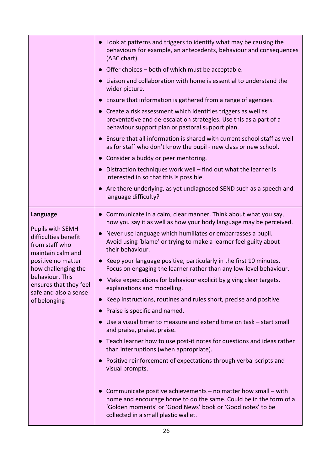|                                                                                                                                                                                                                       | • Look at patterns and triggers to identify what may be causing the<br>behaviours for example, an antecedents, behaviour and consequences<br>(ABC chart).                                                                                              |
|-----------------------------------------------------------------------------------------------------------------------------------------------------------------------------------------------------------------------|--------------------------------------------------------------------------------------------------------------------------------------------------------------------------------------------------------------------------------------------------------|
|                                                                                                                                                                                                                       | • Offer choices – both of which must be acceptable.                                                                                                                                                                                                    |
|                                                                                                                                                                                                                       | Liaison and collaboration with home is essential to understand the<br>wider picture.                                                                                                                                                                   |
|                                                                                                                                                                                                                       | Ensure that information is gathered from a range of agencies.                                                                                                                                                                                          |
|                                                                                                                                                                                                                       | Create a risk assessment which identifies triggers as well as<br>$\bullet$<br>preventative and de-escalation strategies. Use this as a part of a<br>behaviour support plan or pastoral support plan.                                                   |
|                                                                                                                                                                                                                       | Ensure that all information is shared with current school staff as well<br>$\bullet$<br>as for staff who don't know the pupil - new class or new school.                                                                                               |
|                                                                                                                                                                                                                       | Consider a buddy or peer mentoring.                                                                                                                                                                                                                    |
|                                                                                                                                                                                                                       | • Distraction techniques work well - find out what the learner is<br>interested in so that this is possible.                                                                                                                                           |
|                                                                                                                                                                                                                       | Are there underlying, as yet undiagnosed SEND such as a speech and<br>$\bullet$<br>language difficulty?                                                                                                                                                |
| Language<br><b>Pupils with SEMH</b><br>difficulties benefit<br>from staff who<br>maintain calm and<br>positive no matter<br>how challenging the<br>behaviour. This<br>ensures that they feel<br>safe and also a sense | • Communicate in a calm, clear manner. Think about what you say,<br>how you say it as well as how your body language may be perceived.                                                                                                                 |
|                                                                                                                                                                                                                       | Never use language which humiliates or embarrasses a pupil.<br>$\bullet$<br>Avoid using 'blame' or trying to make a learner feel guilty about<br>their behaviour.                                                                                      |
|                                                                                                                                                                                                                       | • Keep your language positive, particularly in the first 10 minutes.<br>Focus on engaging the learner rather than any low-level behaviour.                                                                                                             |
|                                                                                                                                                                                                                       | Make expectations for behaviour explicit by giving clear targets,<br>$\bullet$<br>explanations and modelling.                                                                                                                                          |
| of belonging                                                                                                                                                                                                          | Keep instructions, routines and rules short, precise and positive<br>$\bullet$                                                                                                                                                                         |
|                                                                                                                                                                                                                       | Praise is specific and named.<br>$\bullet$                                                                                                                                                                                                             |
|                                                                                                                                                                                                                       | Use a visual timer to measure and extend time on task – start small<br>$\bullet$<br>and praise, praise, praise.                                                                                                                                        |
|                                                                                                                                                                                                                       | • Teach learner how to use post-it notes for questions and ideas rather<br>than interruptions (when appropriate).                                                                                                                                      |
|                                                                                                                                                                                                                       | • Positive reinforcement of expectations through verbal scripts and<br>visual prompts.                                                                                                                                                                 |
|                                                                                                                                                                                                                       | Communicate positive achievements - no matter how small - with<br>$\bullet$<br>home and encourage home to do the same. Could be in the form of a<br>'Golden moments' or 'Good News' book or 'Good notes' to be<br>collected in a small plastic wallet. |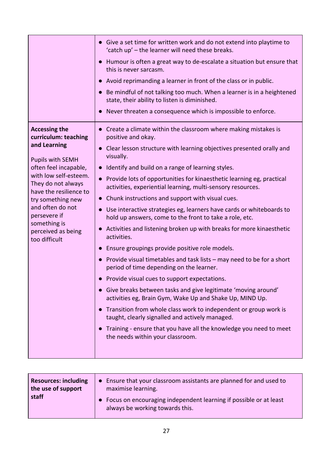|                                                                                         | • Give a set time for written work and do not extend into playtime to<br>'catch up' - the learner will need these breaks.            |
|-----------------------------------------------------------------------------------------|--------------------------------------------------------------------------------------------------------------------------------------|
|                                                                                         | Humour is often a great way to de-escalate a situation but ensure that<br>$\bullet$<br>this is never sarcasm.                        |
|                                                                                         | Avoid reprimanding a learner in front of the class or in public.<br>$\bullet$                                                        |
|                                                                                         | Be mindful of not talking too much. When a learner is in a heightened<br>state, their ability to listen is diminished.               |
|                                                                                         | Never threaten a consequence which is impossible to enforce.                                                                         |
| <b>Accessing the</b><br>curriculum: teaching<br>and Learning<br><b>Pupils with SEMH</b> | Create a climate within the classroom where making mistakes is<br>positive and okay.                                                 |
|                                                                                         | Clear lesson structure with learning objectives presented orally and<br>$\bullet$<br>visually.                                       |
| often feel incapable,                                                                   | Identify and build on a range of learning styles.                                                                                    |
| with low self-esteem.<br>They do not always<br>have the resilience to                   | Provide lots of opportunities for kinaesthetic learning eg, practical<br>activities, experiential learning, multi-sensory resources. |
| try something new                                                                       | Chunk instructions and support with visual cues.<br>$\bullet$                                                                        |
| and often do not<br>persevere if                                                        | Use interactive strategies eg, learners have cards or whiteboards to<br>hold up answers, come to the front to take a role, etc.      |
| something is<br>perceived as being<br>too difficult                                     | Activities and listening broken up with breaks for more kinaesthetic<br>$\bullet$<br>activities.                                     |
|                                                                                         | Ensure groupings provide positive role models.                                                                                       |
|                                                                                         | Provide visual timetables and task lists - may need to be for a short<br>period of time depending on the learner.                    |
|                                                                                         | Provide visual cues to support expectations.                                                                                         |
|                                                                                         | Give breaks between tasks and give legitimate 'moving around'<br>activities eg, Brain Gym, Wake Up and Shake Up, MIND Up.            |
|                                                                                         | Transition from whole class work to independent or group work is<br>taught, clearly signalled and actively managed.                  |
|                                                                                         | Training - ensure that you have all the knowledge you need to meet<br>the needs within your classroom.                               |
|                                                                                         |                                                                                                                                      |

| <b>Resources: including</b><br>the use of support<br>staff | • Ensure that your classroom assistants are planned for and used to<br>maximise learning.              |  |
|------------------------------------------------------------|--------------------------------------------------------------------------------------------------------|--|
|                                                            | • Focus on encouraging independent learning if possible or at least<br>always be working towards this. |  |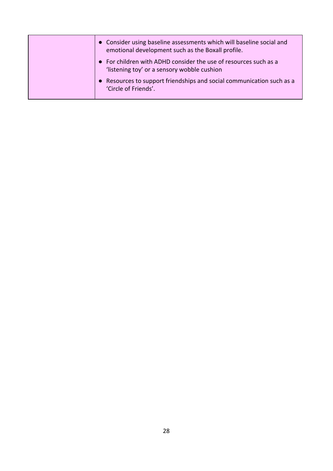| • Consider using baseline assessments which will baseline social and<br>emotional development such as the Boxall profile. |
|---------------------------------------------------------------------------------------------------------------------------|
| • For children with ADHD consider the use of resources such as a<br>'listening toy' or a sensory wobble cushion           |
| • Resources to support friendships and social communication such as a<br>'Circle of Friends'.                             |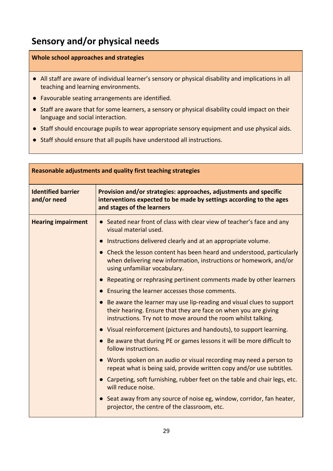## <span id="page-31-0"></span>**Sensory and/or physical needs**

- All staff are aware of individual learner's sensory or physical disability and implications in all teaching and learning environments.
- Favourable seating arrangements are identified.
- Staff are aware that for some learners, a sensory or physical disability could impact on their language and social interaction.
- Staff should encourage pupils to wear appropriate sensory equipment and use physical aids.
- Staff should ensure that all pupils have understood all instructions.

| Reasonable adjustments and quality first teaching strategies |                                                                                                                                                                                                          |
|--------------------------------------------------------------|----------------------------------------------------------------------------------------------------------------------------------------------------------------------------------------------------------|
| <b>Identified barrier</b><br>and/or need                     | Provision and/or strategies: approaches, adjustments and specific<br>interventions expected to be made by settings according to the ages<br>and stages of the learners                                   |
| <b>Hearing impairment</b>                                    | • Seated near front of class with clear view of teacher's face and any<br>visual material used.                                                                                                          |
|                                                              | Instructions delivered clearly and at an appropriate volume.                                                                                                                                             |
|                                                              | • Check the lesson content has been heard and understood, particularly<br>when delivering new information, instructions or homework, and/or<br>using unfamiliar vocabulary.                              |
|                                                              | • Repeating or rephrasing pertinent comments made by other learners                                                                                                                                      |
|                                                              | Ensuring the learner accesses those comments.                                                                                                                                                            |
|                                                              | Be aware the learner may use lip-reading and visual clues to support<br>their hearing. Ensure that they are face on when you are giving<br>instructions. Try not to move around the room whilst talking. |
|                                                              | • Visual reinforcement (pictures and handouts), to support learning.                                                                                                                                     |
|                                                              | • Be aware that during PE or games lessons it will be more difficult to<br>follow instructions.                                                                                                          |
|                                                              | • Words spoken on an audio or visual recording may need a person to<br>repeat what is being said, provide written copy and/or use subtitles.                                                             |
|                                                              | • Carpeting, soft furnishing, rubber feet on the table and chair legs, etc.<br>will reduce noise.                                                                                                        |
|                                                              | • Seat away from any source of noise eg, window, corridor, fan heater,<br>projector, the centre of the classroom, etc.                                                                                   |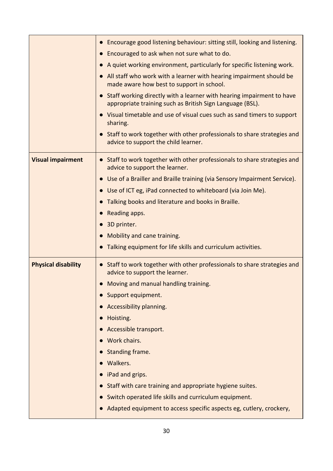|                            | Encourage good listening behaviour: sitting still, looking and listening.<br>$\bullet$                                                          |
|----------------------------|-------------------------------------------------------------------------------------------------------------------------------------------------|
|                            | Encouraged to ask when not sure what to do.<br>$\bullet$                                                                                        |
|                            | A quiet working environment, particularly for specific listening work.                                                                          |
|                            | All staff who work with a learner with hearing impairment should be<br>made aware how best to support in school.                                |
|                            | Staff working directly with a learner with hearing impairment to have<br>$\bullet$<br>appropriate training such as British Sign Language (BSL). |
|                            | Visual timetable and use of visual cues such as sand timers to support<br>$\bullet$<br>sharing.                                                 |
|                            | Staff to work together with other professionals to share strategies and<br>advice to support the child learner.                                 |
| <b>Visual impairment</b>   | Staff to work together with other professionals to share strategies and<br>$\bullet$<br>advice to support the learner.                          |
|                            | Use of a Brailler and Braille training (via Sensory Impairment Service).                                                                        |
|                            | Use of ICT eg, iPad connected to whiteboard (via Join Me).<br>$\bullet$                                                                         |
|                            | Talking books and literature and books in Braille.                                                                                              |
|                            | Reading apps.                                                                                                                                   |
|                            | 3D printer.<br>$\bullet$                                                                                                                        |
|                            | Mobility and cane training.<br>$\bullet$                                                                                                        |
|                            | Talking equipment for life skills and curriculum activities.                                                                                    |
| <b>Physical disability</b> | Staff to work together with other professionals to share strategies and<br>$\bullet$<br>advice to support the learner.                          |
|                            | Moving and manual handling training.                                                                                                            |
|                            | Support equipment.                                                                                                                              |
|                            | Accessibility planning.                                                                                                                         |
|                            | Hoisting.                                                                                                                                       |
|                            | Accessible transport.                                                                                                                           |
|                            | Work chairs.                                                                                                                                    |
|                            | Standing frame.                                                                                                                                 |
|                            | Walkers.                                                                                                                                        |
|                            | iPad and grips.<br>$\bullet$                                                                                                                    |
|                            | Staff with care training and appropriate hygiene suites.                                                                                        |
|                            | Switch operated life skills and curriculum equipment.                                                                                           |
|                            | Adapted equipment to access specific aspects eg, cutlery, crockery,                                                                             |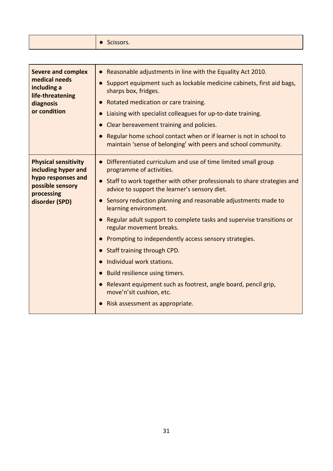|  | <b>I</b> · Scissors. |
|--|----------------------|
|--|----------------------|

| <b>Severe and complex</b><br>medical needs<br>including a<br>life-threatening<br>diagnosis<br>or condition                   | • Reasonable adjustments in line with the Equality Act 2010.<br>Support equipment such as lockable medicine cabinets, first aid bags,<br>$\bullet$<br>sharps box, fridges.<br>Rotated medication or care training.<br>Liaising with specialist colleagues for up-to-date training.<br>$\bullet$<br>Clear bereavement training and policies.<br>$\bullet$<br>Regular home school contact when or if learner is not in school to<br>$\bullet$<br>maintain 'sense of belonging' with peers and school community.                                                                                                                                                                                                                                                                                              |
|------------------------------------------------------------------------------------------------------------------------------|------------------------------------------------------------------------------------------------------------------------------------------------------------------------------------------------------------------------------------------------------------------------------------------------------------------------------------------------------------------------------------------------------------------------------------------------------------------------------------------------------------------------------------------------------------------------------------------------------------------------------------------------------------------------------------------------------------------------------------------------------------------------------------------------------------|
| <b>Physical sensitivity</b><br>including hyper and<br>hypo responses and<br>possible sensory<br>processing<br>disorder (SPD) | Differentiated curriculum and use of time limited small group<br>$\bullet$<br>programme of activities.<br>Staff to work together with other professionals to share strategies and<br>$\bullet$<br>advice to support the learner's sensory diet.<br>• Sensory reduction planning and reasonable adjustments made to<br>learning environment.<br>Regular adult support to complete tasks and supervise transitions or<br>$\bullet$<br>regular movement breaks.<br>Prompting to independently access sensory strategies.<br>$\bullet$<br>Staff training through CPD.<br>$\bullet$<br>Individual work stations.<br>$\bullet$<br>• Build resilience using timers.<br>Relevant equipment such as footrest, angle board, pencil grip,<br>$\bullet$<br>move'n'sit cushion, etc.<br>Risk assessment as appropriate. |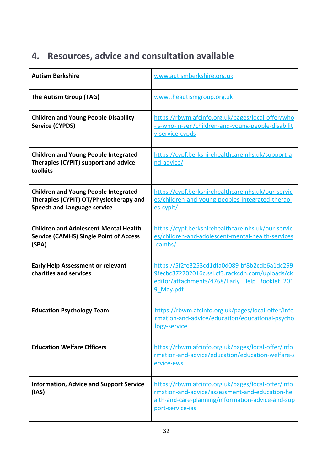# <span id="page-34-0"></span>**4. Resources, advice and consultation available**

| <b>Autism Berkshire</b>                                                                                                     | www.autismberkshire.org.uk                                                                                                                                                    |
|-----------------------------------------------------------------------------------------------------------------------------|-------------------------------------------------------------------------------------------------------------------------------------------------------------------------------|
| The Autism Group (TAG)                                                                                                      | www.theautismgroup.org.uk                                                                                                                                                     |
| <b>Children and Young People Disability</b><br><b>Service (CYPDS)</b>                                                       | https://rbwm.afcinfo.org.uk/pages/local-offer/who<br>-is-who-in-sen/children-and-young-people-disabilit<br>y-service-cypds                                                    |
| <b>Children and Young People Integrated</b><br>Therapies (CYPIT) support and advice<br>toolkits                             | https://cypf.berkshirehealthcare.nhs.uk/support-a<br>nd-advice/                                                                                                               |
| <b>Children and Young People Integrated</b><br>Therapies (CYPIT) OT/Physiotherapy and<br><b>Speech and Language service</b> | https://cypf.berkshirehealthcare.nhs.uk/our-servic<br>es/children-and-voung-peoples-integrated-therapi<br>es-cypit/                                                           |
| <b>Children and Adolescent Mental Health</b><br><b>Service (CAMHS) Single Point of Access</b><br>(SPA)                      | https://cypf.berkshirehealthcare.nhs.uk/our-servic<br>es/children-and-adolescent-mental-health-services<br>-camhs/                                                            |
| <b>Early Help Assessment or relevant</b><br>charities and services                                                          | https://5f2fe3253cd1dfa0d089-bf8b2cdb6a1dc299<br>9fecbc372702016c.ssl.cf3.rackcdn.com/uploads/ck<br>editor/attachments/4768/Early Help Booklet 201<br>9 May.pdf               |
| <b>Education Psychology Team</b>                                                                                            | https://rbwm.afcinfo.org.uk/pages/local-offer/info<br>rmation-and-advice/education/educational-psycho<br><u>logy-service</u>                                                  |
| <b>Education Welfare Officers</b>                                                                                           | https://rbwm.afcinfo.org.uk/pages/local-offer/info<br>rmation-and-advice/education/education-welfare-s<br>ervice-ews                                                          |
| <b>Information, Advice and Support Service</b><br>(IAS)                                                                     | https://rbwm.afcinfo.org.uk/pages/local-offer/info<br>rmation-and-advice/assessment-and-education-he<br>alth-and-care-planning/information-advice-and-sup<br>port-service-ias |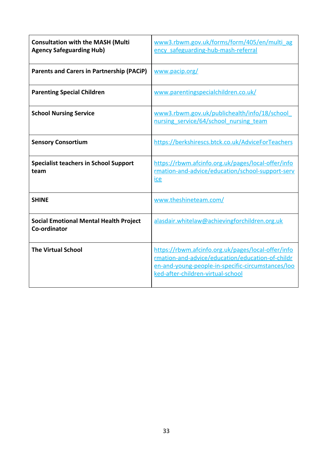| <b>Consultation with the MASH (Multi</b><br><b>Agency Safeguarding Hub)</b> | www3.rbwm.gov.uk/forms/form/405/en/multi_ag<br>ency safeguarding-hub-mash-referral                                                                                                               |
|-----------------------------------------------------------------------------|--------------------------------------------------------------------------------------------------------------------------------------------------------------------------------------------------|
| <b>Parents and Carers in Partnership (PACiP)</b>                            | www.pacip.org/                                                                                                                                                                                   |
| <b>Parenting Special Children</b>                                           | www.parentingspecialchildren.co.uk/                                                                                                                                                              |
| <b>School Nursing Service</b>                                               | www3.rbwm.gov.uk/publichealth/info/18/school<br>nursing service/64/school nursing team                                                                                                           |
| <b>Sensory Consortium</b>                                                   | https://berkshirescs.btck.co.uk/AdviceForTeachers                                                                                                                                                |
| <b>Specialist teachers in School Support</b><br>team                        | https://rbwm.afcinfo.org.uk/pages/local-offer/info<br>rmation-and-advice/education/school-support-serv<br>ice                                                                                    |
| <b>SHINE</b>                                                                | www.theshineteam.com/                                                                                                                                                                            |
| <b>Social Emotional Mental Health Project</b><br>Co-ordinator               | alasdair.whitelaw@achievingforchildren.org.uk                                                                                                                                                    |
| <b>The Virtual School</b>                                                   | https://rbwm.afcinfo.org.uk/pages/local-offer/info<br>rmation-and-advice/education/education-of-childr<br>en-and-young-people-in-specific-circumstances/loo<br>ked-after-children-virtual-school |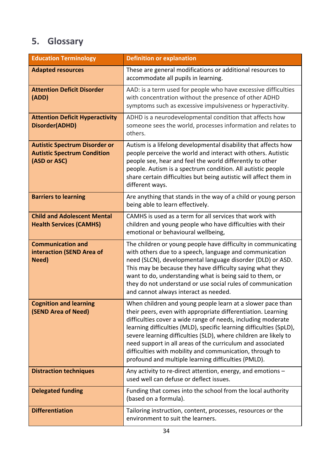# <span id="page-36-0"></span>**5. Glossary**

| <b>Education Terminology</b>                                                               | <b>Definition or explanation</b>                                                                                                                                                                                                                                                                                                                                                                                                                                                                                       |
|--------------------------------------------------------------------------------------------|------------------------------------------------------------------------------------------------------------------------------------------------------------------------------------------------------------------------------------------------------------------------------------------------------------------------------------------------------------------------------------------------------------------------------------------------------------------------------------------------------------------------|
| <b>Adapted resources</b>                                                                   | These are general modifications or additional resources to<br>accommodate all pupils in learning.                                                                                                                                                                                                                                                                                                                                                                                                                      |
| <b>Attention Deficit Disorder</b><br>(ADD)                                                 | AAD: is a term used for people who have excessive difficulties<br>with concentration without the presence of other ADHD<br>symptoms such as excessive impulsiveness or hyperactivity.                                                                                                                                                                                                                                                                                                                                  |
| <b>Attention Deficit Hyperactivity</b><br>Disorder(ADHD)                                   | ADHD is a neurodevelopmental condition that affects how<br>someone sees the world, processes information and relates to<br>others.                                                                                                                                                                                                                                                                                                                                                                                     |
| <b>Autistic Spectrum Disorder or</b><br><b>Autistic Spectrum Condition</b><br>(ASD or ASC) | Autism is a lifelong developmental disability that affects how<br>people perceive the world and interact with others. Autistic<br>people see, hear and feel the world differently to other<br>people. Autism is a spectrum condition. All autistic people<br>share certain difficulties but being autistic will affect them in<br>different ways.                                                                                                                                                                      |
| <b>Barriers to learning</b>                                                                | Are anything that stands in the way of a child or young person<br>being able to learn effectively.                                                                                                                                                                                                                                                                                                                                                                                                                     |
| <b>Child and Adolescent Mental</b><br><b>Health Services (CAMHS)</b>                       | CAMHS is used as a term for all services that work with<br>children and young people who have difficulties with their<br>emotional or behavioural wellbeing,                                                                                                                                                                                                                                                                                                                                                           |
| <b>Communication and</b><br>interaction (SEND Area of<br>Need)                             | The children or young people have difficulty in communicating<br>with others due to a speech, language and communication<br>need (SLCN), developmental language disorder (DLD) or ASD.<br>This may be because they have difficulty saying what they<br>want to do, understanding what is being said to them, or<br>they do not understand or use social rules of communication<br>and cannot always interact as needed.                                                                                                |
| <b>Cognition and learning</b><br>(SEND Area of Need)                                       | When children and young people learn at a slower pace than<br>their peers, even with appropriate differentiation. Learning<br>difficulties cover a wide range of needs, including moderate<br>learning difficulties (MLD), specific learning difficulties (SpLD),<br>severe learning difficulties (SLD), where children are likely to<br>need support in all areas of the curriculum and associated<br>difficulties with mobility and communication, through to<br>profound and multiple learning difficulties (PMLD). |
| <b>Distraction techniques</b>                                                              | Any activity to re-direct attention, energy, and emotions -<br>used well can defuse or deflect issues.                                                                                                                                                                                                                                                                                                                                                                                                                 |
| <b>Delegated funding</b>                                                                   | Funding that comes into the school from the local authority<br>(based on a formula).                                                                                                                                                                                                                                                                                                                                                                                                                                   |
| <b>Differentiation</b>                                                                     | Tailoring instruction, content, processes, resources or the<br>environment to suit the learners.                                                                                                                                                                                                                                                                                                                                                                                                                       |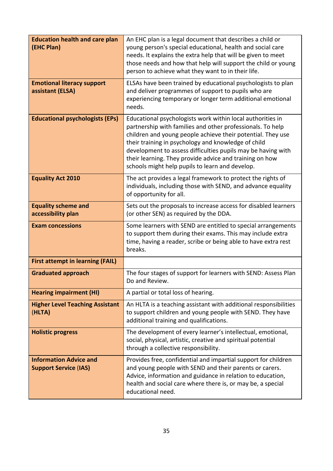| <b>Education health and care plan</b><br>(EHC Plan)           | An EHC plan is a legal document that describes a child or<br>young person's special educational, health and social care<br>needs. It explains the extra help that will be given to meet<br>those needs and how that help will support the child or young<br>person to achieve what they want to in their life.                                                                                                               |
|---------------------------------------------------------------|------------------------------------------------------------------------------------------------------------------------------------------------------------------------------------------------------------------------------------------------------------------------------------------------------------------------------------------------------------------------------------------------------------------------------|
| <b>Emotional literacy support</b><br>assistant (ELSA)         | ELSAs have been trained by educational psychologists to plan<br>and deliver programmes of support to pupils who are<br>experiencing temporary or longer term additional emotional<br>needs.                                                                                                                                                                                                                                  |
| <b>Educational psychologists (EPs)</b>                        | Educational psychologists work within local authorities in<br>partnership with families and other professionals. To help<br>children and young people achieve their potential. They use<br>their training in psychology and knowledge of child<br>development to assess difficulties pupils may be having with<br>their learning. They provide advice and training on how<br>schools might help pupils to learn and develop. |
| <b>Equality Act 2010</b>                                      | The act provides a legal framework to protect the rights of<br>individuals, including those with SEND, and advance equality<br>of opportunity for all.                                                                                                                                                                                                                                                                       |
| <b>Equality scheme and</b><br>accessibility plan              | Sets out the proposals to increase access for disabled learners<br>(or other SEN) as required by the DDA.                                                                                                                                                                                                                                                                                                                    |
| <b>Exam concessions</b>                                       | Some learners with SEND are entitled to special arrangements<br>to support them during their exams. This may include extra<br>time, having a reader, scribe or being able to have extra rest<br>breaks.                                                                                                                                                                                                                      |
| <b>First attempt in learning (FAIL)</b>                       |                                                                                                                                                                                                                                                                                                                                                                                                                              |
| <b>Graduated approach</b>                                     | The four stages of support for learners with SEND: Assess Plan<br>Do and Review.                                                                                                                                                                                                                                                                                                                                             |
| <b>Hearing impairment (HI)</b>                                | A partial or total loss of hearing.                                                                                                                                                                                                                                                                                                                                                                                          |
| <b>Higher Level Teaching Assistant</b><br>(HLTA)              | An HLTA is a teaching assistant with additional responsibilities<br>to support children and young people with SEND. They have<br>additional training and qualifications.                                                                                                                                                                                                                                                     |
| <b>Holistic progress</b>                                      | The development of every learner's intellectual, emotional,<br>social, physical, artistic, creative and spiritual potential<br>through a collective responsibility.                                                                                                                                                                                                                                                          |
| <b>Information Advice and</b><br><b>Support Service (IAS)</b> | Provides free, confidential and impartial support for children<br>and young people with SEND and their parents or carers.<br>Advice, information and guidance in relation to education,<br>health and social care where there is, or may be, a special<br>educational need.                                                                                                                                                  |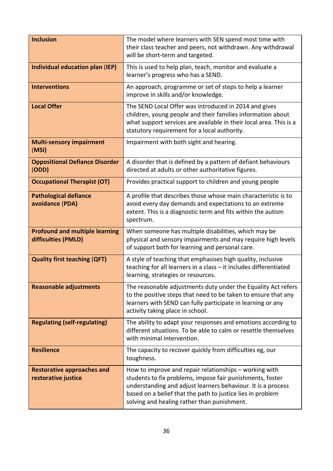| <b>Inclusion</b>                                             | The model where learners with SEN spend most time with<br>their class teacher and peers, not withdrawn. Any withdrawal<br>will be short-term and targeted.                                                                                                                                       |
|--------------------------------------------------------------|--------------------------------------------------------------------------------------------------------------------------------------------------------------------------------------------------------------------------------------------------------------------------------------------------|
| Individual education plan (IEP)                              | This is used to help plan, teach, monitor and evaluate a<br>learner's progress who has a SEND.                                                                                                                                                                                                   |
| <b>Interventions</b>                                         | An approach, programme or set of steps to help a learner<br>improve in skills and/or knowledge.                                                                                                                                                                                                  |
| <b>Local Offer</b>                                           | The SEND Local Offer was introduced in 2014 and gives<br>children, young people and their families information about<br>what support services are available in their local area. This is a<br>statutory requirement for a local authority.                                                       |
| <b>Multi-sensory impairment</b><br>(MSI)                     | Impairment with both sight and hearing.                                                                                                                                                                                                                                                          |
| <b>Oppositional Defiance Disorder</b><br>(ODD)               | A disorder that is defined by a pattern of defiant behaviours<br>directed at adults or other authoritative figures.                                                                                                                                                                              |
| <b>Occupational Therapist (OT)</b>                           | Provides practical support to children and young people                                                                                                                                                                                                                                          |
| <b>Pathological defiance</b><br>avoidance (PDA)              | A profile that describes those whose main characteristic is to<br>avoid every day demands and expectations to an extreme<br>extent. This is a diagnostic term and fits within the autism<br>spectrum.                                                                                            |
| <b>Profound and multiple learning</b><br>difficulties (PMLD) | When someone has multiple disabilities, which may be<br>physical and sensory impairments and may require high levels<br>of support both for learning and personal care.                                                                                                                          |
| <b>Quality first teaching (QFT)</b>                          | A style of teaching that emphasises high quality, inclusive<br>teaching for all learners in a class - it includes differentiated<br>learning, strategies or resources.                                                                                                                           |
| <b>Reasonable adjustments</b>                                | The reasonable adjustments duty under the Equality Act refers<br>to the positive steps that need to be taken to ensure that any<br>learners with SEND can fully participate in learning or any<br>activity taking place in school.                                                               |
| <b>Regulating (self-regulating)</b>                          | The ability to adapt your responses and emotions according to<br>different situations. To be able to calm or resettle themselves<br>with minimal intervention.                                                                                                                                   |
| <b>Resilience</b>                                            | The capacity to recover quickly from difficulties eg, our<br>toughness.                                                                                                                                                                                                                          |
| <b>Restorative approaches and</b><br>restorative justice     | How to improve and repair relationships - working with<br>students to fix problems, impose fair punishments, foster<br>understanding and adjust learners behaviour. It is a process<br>based on a belief that the path to justice lies in problem<br>solving and healing rather than punishment. |